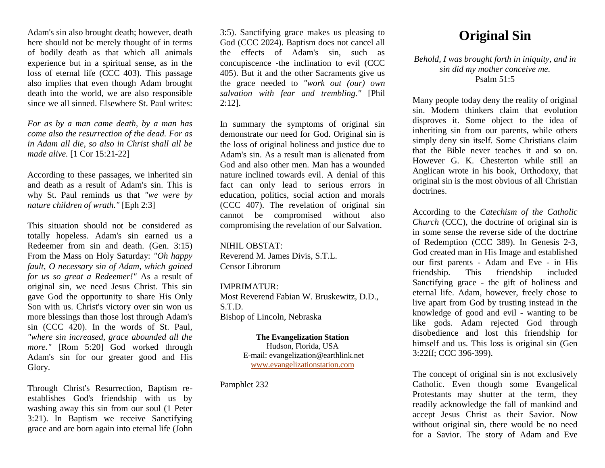Adam's sin also brought death; however, death here should not be merely thought of in terms of bodily death as that which all animals experience but in a spiritual sense, as in the loss of eternal life (CCC 403). This passage also implies that even though Adam brought death into the world, we are also responsible since we all sinned. Elsewhere St. Paul writes:

*For as by a man came death, by a man has come also the resurrection of the dead. For as in Adam all die, so also in Christ shall all be made alive.* [1 Cor 15:21-22]

According to these passages, we inherited sin and death as a result of Adam's sin. This is why St. Paul reminds us that *"we were by nature children of wrath."* [Eph 2:3]

This situation should not be considered as totally hopeless. Adam's sin earned us a Redeemer from sin and death. (Gen. 3:15) From the Mass on Holy Saturday: *"Oh happy fault, O necessary sin of Adam, which gained for us so great a Redeemer!"* As a result of original sin, we need Jesus Christ. This sin gave God the opportunity to share His Only Son with us. Christ's victory over sin won us more blessings than those lost through Adam's sin (CCC 420). In the words of St. Paul, *"where sin increased, grace abounded all the more."* [Rom 5:20] God worked through Adam's sin for our greater good and His Glory.

Through Christ's Resurrection, Baptism reestablishes God's friendship with us by washing away this sin from our soul (1 Peter 3:21). In Baptism we receive Sanctifying grace and are born again into eternal life (John 3:5). Sanctifying grace makes us pleasing to God (CCC 2024). Baptism does not cancel all the effects of Adam's sin, such as concupiscence -the inclination to evil (CCC 405). But it and the other Sacraments give us the grace needed to *"work out (our) own salvation with fear and trembling."* [Phil 2:12].

In summary the symptoms of original sin demonstrate our need for God. Original sin is the loss of original holiness and justice due to Adam's sin. As a result man is alienated from God and also other men. Man has a wounded nature inclined towards evil. A denial of this fact can only lead to serious errors in education, politics, social action and morals (CCC 407). The revelation of original sin cannot be compromised without also compromising the revelation of our Salvation.

## NIHIL OBSTAT:

Reverend M. James Divis, S.T.L. Censor Librorum

## IMPRIMATUR:

Most Reverend Fabian W. Bruskewitz, D.D., S.T.D. Bishop of Lincoln, Nebraska

## **The Evangelization Station**

Hudson, Florida, USA E-mail: evangelization@earthlink.net [www.evangelizationstation.com](http://www.pjpiisoe.org/)

Pamphlet 232

## **Original Sin**

*Behold, I was brought forth in iniquity, and in sin did my mother conceive me.* Psalm  $51.5$ 

Many people today deny the reality of original sin. Modern thinkers claim that evolution disproves it. Some object to the idea of inheriting sin from our parents, while others simply deny sin itself. Some Christians claim that the Bible never teaches it and so on. However G. K. Chesterton while still an Anglican wrote in his book, Orthodoxy, that original sin is the most obvious of all Christian doctrines.

According to the *Catechism of the Catholic Church* (CCC), the doctrine of original sin is in some sense the reverse side of the doctrine of Redemption (CCC 389). In Genesis 2-3, God created man in His Image and established our first parents - Adam and Eve - in His friendship. This friendship included Sanctifying grace - the gift of holiness and eternal life. Adam, however, freely chose to live apart from God by trusting instead in the knowledge of good and evil - wanting to be like gods. Adam rejected God through disobedience and lost this friendship for himself and us. This loss is original sin (Gen 3:22ff; CCC 396-399).

The concept of original sin is not exclusively Catholic. Even though some Evangelical Protestants may shutter at the term, they readily acknowledge the fall of mankind and accept Jesus Christ as their Savior. Now without original sin, there would be no need for a Savior. The story of Adam and Eve